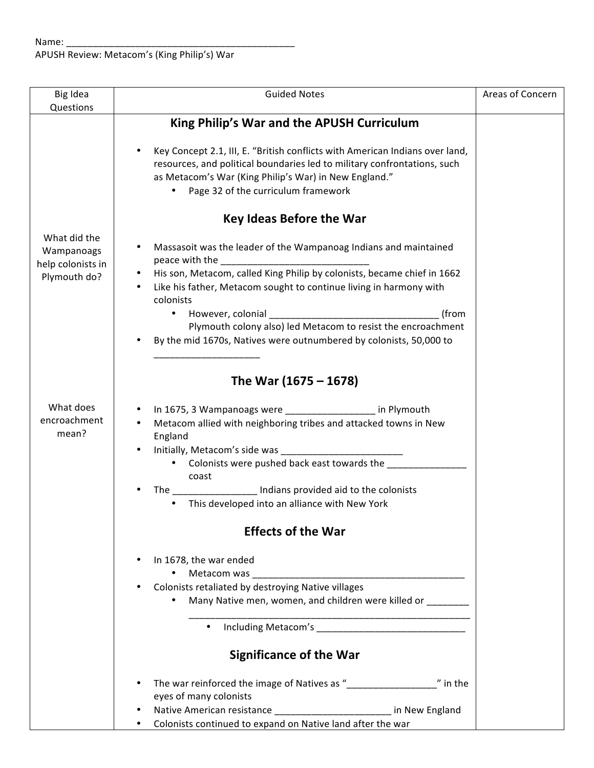| Big Idea                          | <b>Guided Notes</b>                                                          | Areas of Concern |
|-----------------------------------|------------------------------------------------------------------------------|------------------|
| Questions                         |                                                                              |                  |
|                                   | King Philip's War and the APUSH Curriculum                                   |                  |
|                                   |                                                                              |                  |
|                                   | Key Concept 2.1, III, E. "British conflicts with American Indians over land, |                  |
|                                   | resources, and political boundaries led to military confrontations, such     |                  |
|                                   | as Metacom's War (King Philip's War) in New England."                        |                  |
|                                   | Page 32 of the curriculum framework                                          |                  |
|                                   |                                                                              |                  |
|                                   | <b>Key Ideas Before the War</b>                                              |                  |
| What did the                      |                                                                              |                  |
|                                   | Massasoit was the leader of the Wampanoag Indians and maintained             |                  |
| Wampanoags                        |                                                                              |                  |
| help colonists in<br>Plymouth do? | His son, Metacom, called King Philip by colonists, became chief in 1662<br>٠ |                  |
|                                   | Like his father, Metacom sought to continue living in harmony with           |                  |
|                                   | colonists                                                                    |                  |
|                                   | (from<br>$\bullet$                                                           |                  |
|                                   | Plymouth colony also) led Metacom to resist the encroachment                 |                  |
|                                   | By the mid 1670s, Natives were outnumbered by colonists, 50,000 to           |                  |
|                                   |                                                                              |                  |
|                                   |                                                                              |                  |
|                                   | The War (1675 – 1678)                                                        |                  |
|                                   |                                                                              |                  |
| What does                         | In 1675, 3 Wampanoags were __________________ in Plymouth                    |                  |
| encroachment                      | Metacom allied with neighboring tribes and attacked towns in New             |                  |
| mean?                             | England                                                                      |                  |
|                                   |                                                                              |                  |
|                                   | • Colonists were pushed back east towards the _____                          |                  |
|                                   | coast                                                                        |                  |
|                                   | The ___________________ Indians provided aid to the colonists                |                  |
|                                   |                                                                              |                  |
|                                   | This developed into an alliance with New York                                |                  |
|                                   | <b>Effects of the War</b>                                                    |                  |
|                                   |                                                                              |                  |
|                                   | $\bullet$                                                                    |                  |
|                                   | In 1678, the war ended                                                       |                  |
|                                   |                                                                              |                  |
|                                   | Colonists retaliated by destroying Native villages                           |                  |
|                                   | Many Native men, women, and children were killed or _______                  |                  |
|                                   |                                                                              |                  |
|                                   |                                                                              |                  |
|                                   | <b>Significance of the War</b>                                               |                  |
|                                   |                                                                              |                  |
|                                   |                                                                              |                  |
|                                   | eyes of many colonists                                                       |                  |
|                                   | Native American resistance ________________________ in New England           |                  |
|                                   | Colonists continued to expand on Native land after the war                   |                  |